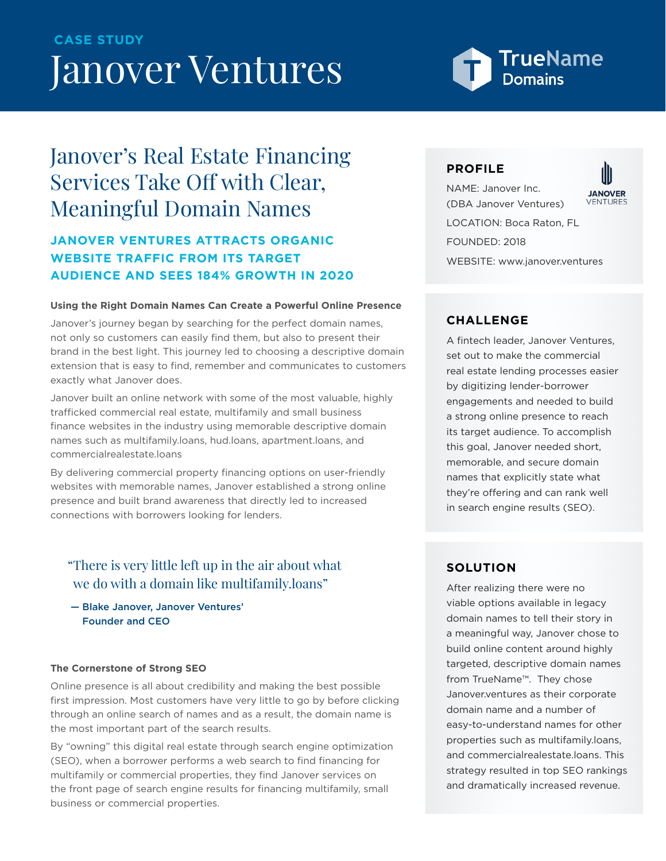# Janover Ventures **CASE STUDY**

# TrueName

# Janover's Real Estate Financing Services Take Off with Clear, Meaningful Domain Names

## **JANOVER VENTURES ATTRACTS ORGANIC WEBSITE TRAFFIC FROM ITS TARGET AUDIENCE AND SEES 184% GROWTH IN 2020**

#### **Using the Right Domain Names Can Create a Powerful Online Presence**

Janover's journey began by searching for the perfect domain names, not only so customers can easily find them, but also to present their brand in the best light. This journey led to choosing a descriptive domain extension that is easy to find, remember and communicates to customers exactly what Janover does.

Janover built an online network with some of the most valuable, highly trafficked commercial real estate, multifamily and small business finance websites in the industry using memorable descriptive domain names such as multifamily.loans, hud.loans, apartment.loans, and commercialrealestate.loans

By delivering commercial property financing options on user-friendly websites with memorable names, Janover established a strong online presence and built brand awareness that directly led to increased connections with borrowers looking for lenders.

## "There is very little left up in the air about what we do with a domain like multifamily.loans"

 — Blake Janover, Janover Ventures' Founder and CEO

#### **The Cornerstone of Strong SEO**

Online presence is all about credibility and making the best possible first impression. Most customers have very little to go by before clicking through an online search of names and as a result, the domain name is the most important part of the search results.

By "owning" this digital real estate through search engine optimization (SEO), when a borrower performs a web search to find financing for multifamily or commercial properties, they find Janover services on the front page of search engine results for financing multifamily, small business or commercial properties.

#### **PROFILE**

NAME: Janover Inc. **JANOVER** (DBA Janover Ventures) LOCATION: Boca Raton, FL FOUNDED: 2018

WEBSITE: www.janover.ventures

## **CHALLENGE**

A fintech leader, Janover Ventures, set out to make the commercial real estate lending processes easier by digitizing lender-borrower engagements and needed to build a strong online presence to reach its target audience. To accomplish this goal, Janover needed short, memorable, and secure domain names that explicitly state what they're offering and can rank well in search engine results (SEO).

### **SOLUTION**

After realizing there were no viable options available in legacy domain names to tell their story in a meaningful way, Janover chose to build online content around highly targeted, descriptive domain names from TrueName™. They chose Janover.ventures as their corporate domain name and a number of easy-to-understand names for other properties such as multifamily.loans, and commercialrealestate.loans. This strategy resulted in top SEO rankings and dramatically increased revenue.